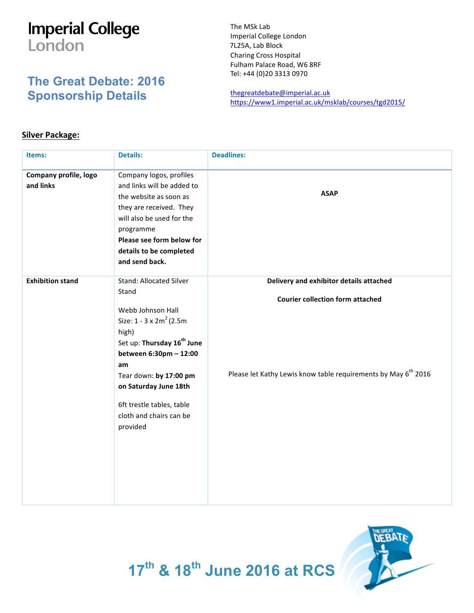## **Imperial College** London

## **The Great Debate: 2016 Sponsorship Details**

The MSk Lab Imperial College London 7L25A, Lab Block Charing Cross Hospital Fulham Palace Road, W6 8RF Tel: +44 (0)20 3313 0970

thegreatdebate@imperial.ac.uk https://www1.imperial.ac.uk/msklab/courses/tgd2015/

## **Silver Package:**

| Items:                             | <b>Details:</b>                                                                                                                                                                                                                                                                                            | <b>Deadlines:</b>                                                                                                                                                |
|------------------------------------|------------------------------------------------------------------------------------------------------------------------------------------------------------------------------------------------------------------------------------------------------------------------------------------------------------|------------------------------------------------------------------------------------------------------------------------------------------------------------------|
| Company profile, logo<br>and links | Company logos, profiles<br>and links will be added to<br>the website as soon as<br>they are received. They<br>will also be used for the<br>programme<br>Please see form below for<br>details to be completed<br>and send back.                                                                             | <b>ASAP</b>                                                                                                                                                      |
| <b>Exhibition stand</b>            | <b>Stand: Allocated Silver</b><br>Stand<br>Webb Johnson Hall<br>Size: $1 - 3 \times 2m^2$ (2.5m)<br>high)<br>Set up: Thursday 16 <sup>th</sup> June<br>between 6:30pm - 12:00<br>am<br>Tear down: by 17:00 pm<br>on Saturday June 18th<br>6ft trestle tables, table<br>cloth and chairs can be<br>provided | Delivery and exhibitor details attached<br><b>Courier collection form attached</b><br>Please let Kathy Lewis know table requirements by May 6 <sup>th</sup> 2016 |



**17th & 18th June 2016 at RCS**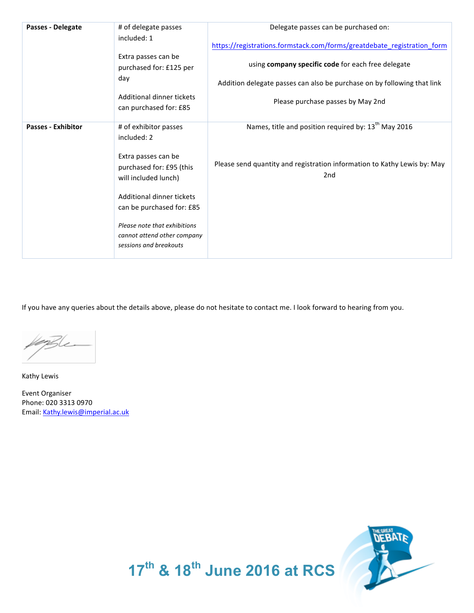| Passes - Delegate         | # of delegate passes                                                                  | Delegate passes can be purchased on:                                                        |
|---------------------------|---------------------------------------------------------------------------------------|---------------------------------------------------------------------------------------------|
|                           | included: 1                                                                           | https://registrations.formstack.com/forms/greatdebate registration form                     |
|                           | Extra passes can be<br>purchased for: £125 per                                        | using company specific code for each free delegate                                          |
|                           | day                                                                                   | Addition delegate passes can also be purchase on by following that link                     |
|                           | Additional dinner tickets<br>can purchased for: £85                                   | Please purchase passes by May 2nd                                                           |
| <b>Passes - Exhibitor</b> | # of exhibitor passes<br>included: 2                                                  | Names, title and position required by: 13 <sup>th</sup> May 2016                            |
|                           | Extra passes can be<br>purchased for: £95 (this<br>will included lunch)               | Please send quantity and registration information to Kathy Lewis by: May<br>2 <sub>nd</sub> |
|                           | Additional dinner tickets<br>can be purchased for: £85                                |                                                                                             |
|                           | Please note that exhibitions<br>cannot attend other company<br>sessions and breakouts |                                                                                             |

If you have any queries about the details above, please do not hesitate to contact me. I look forward to hearing from you.

Kathy Lewis

Event Organiser Phone: 020 3313 0970 Email: Kathy.lewis@imperial.ac.uk



**17th & 18th June 2016 at RCS**